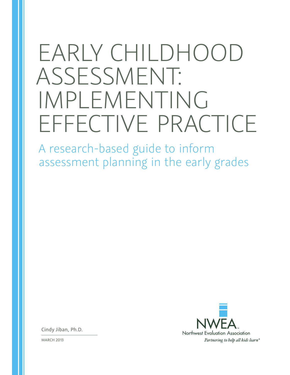# EARLY CHILDHOOD ASSESSMENT: IMPLEMENTING EFFECTIVE PRACTICE

A research-based guide to inform assessment planning in the early grades



Cindy Jiban, Ph.D.

MARCH 2013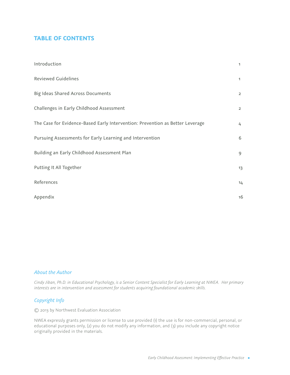# **TABLE OF CONTENTS**

| Introduction                                                                  | $\mathbf{1}$   |
|-------------------------------------------------------------------------------|----------------|
| Reviewed Guidelines                                                           | $\mathbf{1}$   |
| Big Ideas Shared Across Documents                                             | $\overline{2}$ |
| Challenges in Early Childhood Assessment                                      | $\overline{2}$ |
| The Case for Evidence-Based Early Intervention: Prevention as Better Leverage | 4              |
| Pursuing Assessments for Early Learning and Intervention                      | 6              |
| Building an Early Childhood Assessment Plan                                   | 9              |
| Putting It All Together                                                       | 13             |
| References                                                                    | 14             |
| Appendix                                                                      | 16             |

## *About the Author*

*Cindy Jiban, Ph.D. in Educational Psychology, is a Senior Content Specialist for Early Learning at NWEA. Her primary interests are in intervention and assessment for students acquiring foundational academic skills.*

## *Copyright Info*

© 2013 by Northwest Evaluation Association

NWEA expressly grants permission or license to use provided (1) the use is for non-commercial, personal, or educational purposes only, (2) you do not modify any information, and (3) you include any copyright notice originally provided in the materials.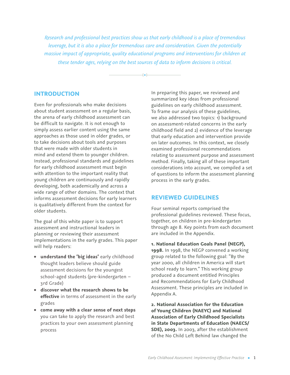*Research and professional best practices show us that early childhood is a place of tremendous leverage, but it is also a place for tremendous care and consideration. Given the potentially massive impact of appropriate, quality educational programs and interventions for children at these tender ages, relying on the best sources of data to inform decisions is critical.* 

 $\overline{\phantom{a}}$ 

# **INTRODUCTION**

Even for professionals who make decisions about student assessment on a regular basis, the arena of early childhood assessment can be difficult to navigate. It is not enough to simply assess earlier content using the same approaches as those used in older grades, or to take decisions about tools and purposes that were made with older students in mind and extend them to younger children. Instead, professional standards and guidelines for early childhood assessment must begin with attention to the important reality that young children are continuously and rapidly developing, both academically and across a wide range of other domains. The context that informs assessment decisions for early learners is qualitatively different from the context for older students.

The goal of this white paper is to support assessment and instructional leaders in planning or reviewing their assessment implementations in the early grades. This paper will help readers:

- **• understand the 'big ideas'** early childhood thought leaders believe should guide assessment decisions for the youngest school-aged students (pre-kindergarten – 3rd Grade)
- **• discover what the research shows to be effective** in terms of assessment in the early grades
- **• come away with a clear sense of next steps**  you can take to apply the research and best practices to your own assessment planning process

In preparing this paper, we reviewed and summarized key ideas from professional guidelines on early childhood assessment. To frame our analysis of these guidelines, we also addressed two topics: 1) background on assessment-related concerns in the early childhood field and 2) evidence of the leverage that early education and intervention provide on later outcomes. In this context, we closely examined professional recommendations relating to assessment purpose and assessment method. Finally, taking all of these important considerations into account, we compiled a set of questions to inform the assessment planning process in the early grades.

# **REVIEWED GUIDELINES**

Four seminal reports comprised the professional guidelines reviewed. These focus, together, on children in pre-kindergarten through age 8. Key points from each document are included in the Appendix.

**1. National Education Goals Panel (NEGP), 1998.** In 1998, the NEGP convened a working group related to the following goal: "By the year 2000, all children in America will start school ready to learn." This working group produced a document entitled Principles and Recommendations for Early Childhood Assessment. These principles are included in Appendix A.

**2. National Association for the Education of Young Children (NAEYC) and National Association of Early Childhood Specialists in State Departments of Education (NAECS/ SDE), 2003.** In 2003, after the establishment of the No Child Left Behind law changed the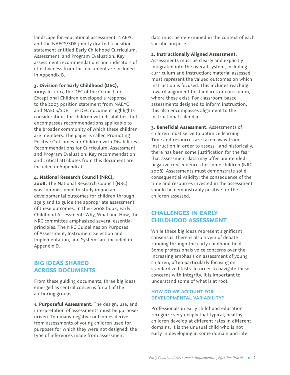landscape for educational assessment, NAEYC and the NAECS/SDE jointly drafted a position statement entitled Early Childhood Curriculum, Assessment, and Program Evaluation. Key assessment recommendations and indicators of effectiveness from this document are included in Appendix B.

#### **3. Division for Early Childhood (DEC),**

**2007.** In 2007, the DEC of the Council for Exceptional Children developed a response to the 2003 position statement from NAEYC and NAECS/SDE. The DEC document highlights considerations for children with disabilities, but encompasses recommendations applicable to the broader community of which these children are members. The paper is called Promoting Positive Outcomes for Children with Disabilities: Recommendations for Curriculum, Assessment, and Program Evaluation. Key recommendation and critical attributes from this document are included in Appendix C.

#### **4. National Research Council (NRC),**

**2008.** The National Research Council (NRC) was commissioned to study important developmental outcomes for children through age 5 and to guide the appropriate assessment of these outcomes. In their 2008 book, Early Childhood Assessment: Why, What and How, the NRC committee emphasized several essential principles. The NRC Guidelines on Purposes of Assessment, Instrument Selection and Implementation, and Systems are included in Appendix D.

# **BIG IDEAS SHARED ACROSS DOCUMENTS**

From these guiding documents, three big ideas emerged as central concerns for all of the authoring groups.

**1. Purposeful Assessment.** The design, use, and interpretation of assessments must be purposedriven. Too many negative outcomes derive from assessments of young children used for purposes for which they were not designed; the type of inferences made from assessment

data must be determined in the context of each specific purpose.

#### **2. Instructionally Aligned Assessment.**

Assessments must be clearly and explicitly integrated into the overall system, including curriculum and instruction; material assessed must represent the valued outcomes on which instruction is focused. This includes reaching toward alignment to standards or curriculum, where these exist. For classroom-based assessments designed to inform instruction, this also encompasses alignment to the instructional calendar.

**3. Beneficial Assessment.** Assessments of children must serve to optimize learning. Time and resources are taken away from instruction in order to assess—and historically, there has been some justification for the fear that assessment data may offer unintended negative consequences for some children (NRC, 2008). Assessments must demonstrate solid consequential validity: the consequence of the time and resources invested in the assessment should be demonstrably positive for the children assessed.

# **CHALLENGES IN EARLY CHILDHOOD ASSESSMENT**

While these big ideas represent significant consensus, there is also a vein of debate running through the early childhood field. Some professionals voice concerns over the increasing emphasis on assessment of young children, often particularly focusing on standardized tests. In order to navigate these concerns with integrity, it is important to understand some of what is at root.

## **HOW DO WE ACCOUNT FOR DEVELOPMENTAL VARIABILITY?**

Professionals in early childhood education recognize very deeply that typical, healthy children develop at different rates in different domains. It is the unusual child who is not early in developing in some domain and late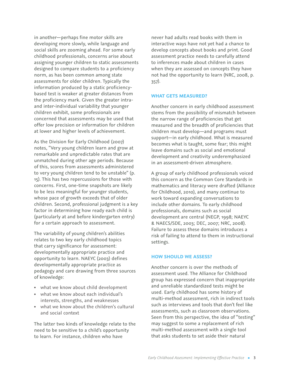in another—perhaps fine motor skills are developing more slowly, while language and social skills are zooming ahead. For some early childhood professionals, concerns arise about assigning younger children to static assessments designed to compare students to a proficiency norm, as has been common among state assessments for older children. Typically the information produced by a static proficiencybased test is weaker at greater distances from the proficiency mark. Given the greater intraand inter-individual variability that younger children exhibit, some professionals are concerned that assessments may be used that offer low precision or information for children at lower and higher levels of achievement.

As the Division for Early Childhood (2007) notes, "Very young children learn and grow at remarkable and unpredictable rates that are unmatched during other age periods. Because of this, scores from assessments administered to very young children tend to be unstable" (p. 15). This has two repercussions for those with concerns. First, one-time snapshots are likely to be less meaningful for younger students, whose pace of growth exceeds that of older children. Second, professional judgment is a key factor in determining how ready each child is (particularly at and before kindergarten entry) for a certain approach to assessment.

The variability of young children's abilities relates to two key early childhood topics that carry significance for assessment: developmentally appropriate practice and opportunity to learn. NAEYC (2003) defines developmentally appropriate practice as pedagogy and care drawing from three sources of knowledge:

- what we know about child development
- what we know about each individual's interests, strengths, and weaknesses
- what we know about the children's cultural and social context

The latter two kinds of knowledge relate to the need to be sensitive to a child's opportunity to learn. For instance, children who have

never had adults read books with them in interactive ways have not yet had a chance to develop concepts about books and print. Good assessment practice needs to carefully attend to inferences made about children in cases when they are assessed on concepts they have not had the opportunity to learn (NRC, 2008, p. 357).

#### **WHAT GETS MEASURED?**

Another concern in early childhood assessment stems from the possibility of mismatch between the narrow range of proficiencies that get measured and the breadth of proficiencies that children must develop—and programs must support—in early childhood. What is measured becomes what is taught, some fear; this might leave domains such as social and emotional development and creativity underemphasized in an assessment-driven atmosphere.

A group of early childhood professionals voiced this concern as the Common Core Standards in mathematics and literacy were drafted (Alliance for Childhood, 2010), and many continue to work toward expanding conversations to include other domains. To early childhood professionals, domains such as social development are central (NEGP, 1998; NAEYC & NAECS/SDE, 2003; DEC, 2007; NRC, 2008). Failure to assess these domains introduces a risk of failing to attend to them in instructional settings.

#### **HOW SHOULD WE ASSESS?**

Another concern is over the methods of assessment used. The Alliance for Childhood group has expressed concern that inappropriate and unreliable standardized tests might be used. Early childhood has some history of multi-method assessment, rich in indirect tools such as interviews and tools that don't feel like assessments, such as classroom observations. Seen from this perspective, the idea of "testing" may suggest to some a replacement of rich multi-method assessment with a single tool that asks students to set aside their natural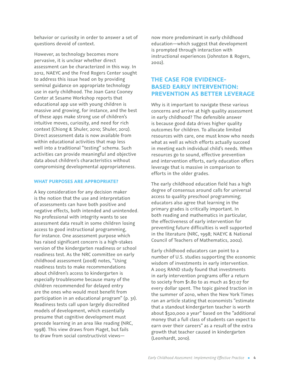behavior or curiosity in order to answer a set of questions devoid of context.

However, as technology becomes more pervasive, it is unclear whether direct assessment can be characterized in this way. In 2012, NAEYC and the Fred Rogers Center sought to address this issue head on by providing seminal guidance on appropriate technology use in early childhood. The Joan Ganz Cooney Center at Sesame Workshop reports that educational app use with young children is massive and growing, for instance, and the best of these apps make strong use of children's intuitive moves, curiosity, and need for rich context (Chiong & Shuler, 2010; Shuler, 2012). Direct assessment data is now available from within educational activities that map less well into a traditional "testing" schema. Such activities can provide meaningful and objective data about children's characteristics without compromising developmental appropriateness.

#### **WHAT PURPOSES ARE APPROPRIATE?**

A key consideration for any decision maker is the notion that the use and interpretation of assessments can have both positive and negative effects, both intended and unintended. No professional with integrity wants to see assessment data result in some children losing access to good instructional programming, for instance. One assessment purpose which has raised significant concern is a high-stakes version of the kindergarten readiness or school readiness test. As the NRC committee on early childhood assessment (2008) notes, "Using readiness tests to make recommendations about children's access to kindergarten is especially troublesome because many of the children recommended for delayed entry are the ones who would most benefit from participation in an educational program" (p. 31). Readiness tests call upon largely discredited models of development, which essentially presume that cognitive development must precede learning in an area like reading (NRC, 1998). This view draws from Piaget, but fails to draw from social constructivist views—

now more predominant in early childhood education—which suggest that development is prompted through interaction with instructional experiences (Johnston & Rogers, 2002).

# **THE CASE FOR EVIDENCE-BASED EARLY INTERVENTION: PREVENTION AS BETTER LEVERAGE**

Why is it important to navigate these various concerns and arrive at high quality assessment in early childhood? The defensible answer is because good data drives higher quality outcomes for children. To allocate limited resources with care, one must know who needs what as well as which efforts actually succeed in meeting each individual child's needs. When resources go to sound, effective prevention and intervention efforts, early education offers leverage that is massive in comparison to efforts in the older grades.

The early childhood education field has a high degree of consensus around calls for universal access to quality preschool programming; educators also agree that learning in the primary grades is critically important. In both reading and mathematics in particular, the effectiveness of early intervention for preventing future difficulties is well supported in the literature (NRC, 1998; NAEYC & National Council of Teachers of Mathematics, 2002).

Early childhood educators can point to a number of U.S. studies supporting the economic wisdom of investments in early intervention. A 2005 RAND study found that investments in early intervention programs offer a return to society from \$1.80 to as much as \$17.07 for every dollar spent. The topic gained traction in the summer of 2010, when the New York Times ran an article stating that economists "estimate that a standout kindergarten teacher is worth about \$320,000 a year" based on the "additional money that a full class of students can expect to earn over their careers" as a result of the extra growth that teacher caused in kindergarten (Leonhardt, 2010).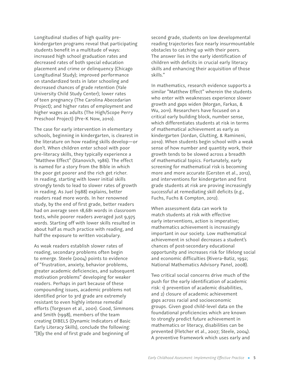Longitudinal studies of high quality prekindergarten programs reveal that participating students benefit in a multitude of ways: increased high school graduation rates and decreased rates of both special education placement and crime or delinquency (Chicago Longitudinal Study); improved performance on standardized tests in later schooling and decreased chances of grade retention (Yale University Child Study Center); lower rates of teen pregnancy (The Carolina Abecedarian Project); and higher rates of employment and higher wages as adults (The High/Scope Perry Preschool Project) (Pre-K Now, 2010).

The case for early intervention in elementary schools, beginning in kindergarten, is clearest in the literature on how reading skills develop—or don't. When children enter school with poor pre-literacy skills, they typically experience a "Matthew Effect" (Stanovich, 1986). The effect is named for a story from the Bible in which the poor get poorer and the rich get richer. In reading, starting with lower initial skills strongly tends to lead to slower rates of growth in reading. As Juel (1988) explains, better readers read more words. In her renowned study, by the end of first grade, better readers had on average seen 18,681 words in classroom texts, while poorer readers averaged just 9,975 words. Starting off with lower skills resulted in about half as much practice with reading, and half the exposure to written vocabulary.

As weak readers establish slower rates of reading, secondary problems often begin to emerge. Steele (2004) points to evidence of "frustration, anxiety, behavior problems, greater academic deficiencies, and subsequent motivation problems" developing for weaker readers. Perhaps in part because of these compounding issues, academic problems not identified prior to 3rd grade are extremely resistant to even highly intense remedial efforts (Torgesen et al., 2001). Good, Simmons and Smith (1998), members of the team creating DIBELS (Dynamic Indicators of Basic Early Literacy Skills), conclude the following: "[B]y the end of first grade and beginning of

second grade, students on low developmental reading trajectories face nearly insurmountable obstacles to catching up with their peers. The answer lies in the early identification of children with deficits in crucial early literacy skills and enhancing their acquisition of those skills."

In mathematics, research evidence supports a similar "Matthew Effect" wherein the students who enter with weaknesses experience slower growth and gaps widen (Morgan, Farkas, & Wu, 2011). Researchers have focused on a critical early building block, number sense, which differentiates students at risk in terms of mathematical achievement as early as kindergarten (Jordan, Glutting, & Ramineni, 2010). When students begin school with a weak sense of how number and quantity work, their growth tends to be slowed across a breadth of mathematical topics. Fortunately, early screening for mathematical risk is becoming more and more accurate (Gersten et al., 2012), and interventions for kindergarten and first grade students at risk are proving increasingly successful at remediating skill deficits (e.g., Fuchs, Fuchs & Compton, 2012).

When assessment data can work to match students at risk with effective early interventions, action is imperative; mathematics achievement is increasingly important in our society. Low mathematical achievement in school decreases a student's chances of post-secondary educational opportunity and increases risk for lifelong social and economic difficulties (Rivera-Batiz, 1992; National Mathematics Advisory Panel, 2008).

Two critical social concerns drive much of the push for the early identification of academic risk: 1) prevention of academic disabilities, and 2) closure of academic achievement gaps across racial and socioeconomic groups. Given good child-level data on the foundational proficiencies which are known to strongly predict future achievement in mathematics or literacy, disabilities can be prevented (Fletcher et al., 2007; Steele, 2004). A preventive framework which uses early and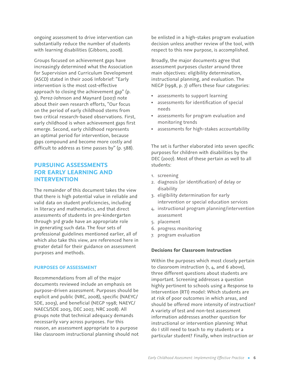ongoing assessment to drive intervention can substantially reduce the number of students with learning disabilities (Gibbons, 2008).

Groups focused on achievement gaps have increasingly determined what the Association for Supervision and Curriculum Development (ASCD) stated in their 2006 Infobrief: "Early intervention is the most cost-effective approach to closing the achievement gap" (p. 3). Perez-Johnson and Maynard (2007) note about their own research efforts, "Our focus on the period of early childhood stems from two critical research-based observations. First, early childhood is when achievement gaps first emerge. Second, early childhood represents an optimal period for intervention, because gaps compound and become more costly and difficult to address as time passes by" (p. 588).

# **PURSUING ASSESSMENTS FOR EARLY LEARNING AND INTERVENTION**

The remainder of this document takes the view that there is high potential value in reliable and valid data on student proficiencies, including in literacy and mathematics, and that direct assessments of students in pre-kindergarten through 3rd grade have an appropriate role in generating such data. The four sets of professional guidelines mentioned earlier, all of which also take this view, are referenced here in greater detail for their guidance on assessment purposes and methods.

## **PURPOSES OF ASSESSMENT**

Recommendations from all of the major documents reviewed include an emphasis on purpose-driven assessment. Purposes should be explicit and public (NRC, 2008), specific (NAEYC/ SDE, 2003), and beneficial (NEGP 1998; NAEYC/ NAECS/SDE 2003, DEC 2007, NRC 2008). All groups note that technical adequacy demands necessarily vary across purposes. For this reason, an assessment appropriate to a purpose like classroom instructional planning should not

be enlisted in a high-stakes program evaluation decision unless another review of the tool, with respect to this new purpose, is accomplished.

Broadly, the major documents agree that assessment purposes cluster around three main objectives: eligibility determination, instructional planning, and evaluation. The NEGP (1998, p. 7) offers these four categories:

- assessments to support learning
- assessments for identification of special needs
- assessments for program evaluation and monitoring trends
- assessments for high-stakes accountability

The set is further elaborated into seven specific purposes for children with disabilities by the DEC (2007). Most of these pertain as well to all students:

- 1. screening
- 2. diagnosis (or identification) of delay or disability
- 3. eligibility determination for early intervention or special education services
- 4. instructional program planning/intervention assessment
- 5. placement
- 6. progress monitoring
- 7. program evaluation

## **Decisions for Classroom Instruction**

Within the purposes which most closely pertain to classroom instruction (1, 4, and 6 above), three different questions about students are important. Screening addresses a question highly pertinent to schools using a Response to Intervention (RTI) model: Which students are at risk of poor outcomes in which areas, and should be offered more intensity of instruction? A variety of test and non-test assessment information addresses another question for instructional or intervention planning: What do I still need to teach to my students or a particular student? Finally, when instruction or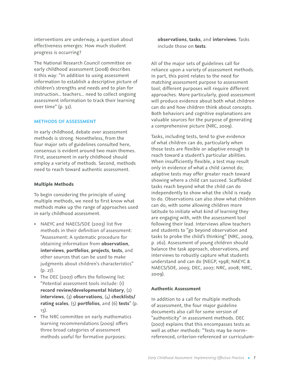interventions are underway, a question about effectiveness emerges: How much student progress is occurring?

The National Research Council committee on early childhood assessment (2008) describes it this way: "In addition to using assessment information to establish a descriptive picture of children's strengths and needs and to plan for instruction… teachers… need to collect ongoing assessment information to track their learning over time" (p. 32).

#### **METHODS OF ASSESSMENT**

In early childhood, debate over assessment methods is strong. Nonetheless, from the four major sets of guidelines consulted here, consensus is evident around two main themes. First, assessment in early childhood should employ a variety of methods. Second, methods need to reach toward authentic assessment.

#### **Multiple Methods**

To begin considering the principle of using multiple methods, we need to first know what methods make up the range of approaches used in early childhood assessment.

- NAEYC and NAECS/SDE (2003) list five methods in their definition of assessment: "Assessment: A systematic procedure for obtaining information from **observation**, **interviews**, **portfolios**, **projects**, **tests**, and other sources that can be used to make judgments about children's characteristics"  $(p. 27)$ .
- The DEC (2007) offers the following list: "Potential assessment tools include: (1) **record review/developmental history**, (2) **interviews**, (3) **observations**, (4) **checklists/ rating scales**, (5) **portfolios**, and (6) **tests**" (p. 13).
- The NRC committee on early mathematics learning recommendations (2009) offers three broad categories of assessment methods useful for formative purposes:

**observations**, **tasks**, and **interviews**. Tasks include those on **tests**.

All of the major sets of guidelines call for reliance upon a variety of assessment methods. In part, this point relates to the need for matching assessment purpose to assessment tool; different purposes will require different approaches. More particularly, good assessment will produce evidence about both what children can do and how children think about concepts. Both behaviors and cognitive explanations are valuable sources for the purpose of generating a comprehensive picture (NRC, 2009).

Tasks, including tests, tend to give evidence of what children can do, particularly when those tests are flexible or adaptive enough to reach toward a student's particular abilities. When insufficiently flexible, a test may result only in evidence of what a child cannot do; adaptive tests may offer greater reach toward showing where a child can succeed. Scaffolded tasks reach beyond what the child can do independently to show what the child is ready to do. Observations can also show what children can do, with some allowing children more latitude to initiate what kind of learning they are engaging with, with the assessment tool following their lead. Interviews allow teachers and students to "go beyond observation and tasks to probe the child's thinking" (NRC, 2009, p. 262). Assessment of young children should balance the task approach, observations, and interviews to robustly capture what students understand and can do (NEGP, 1998; NAEYC & NAECS/SDE, 2003; DEC, 2007; NRC, 2008; NRC, 2009).

## **Authentic Assessment**

In addition to a call for multiple methods of assessment, the four major guideline documents also call for some version of "authenticity" in assessment methods. DEC (2007) explains that this encompasses tests as well as other methods: "Tests may be normreferenced, criterion-referenced or curriculum-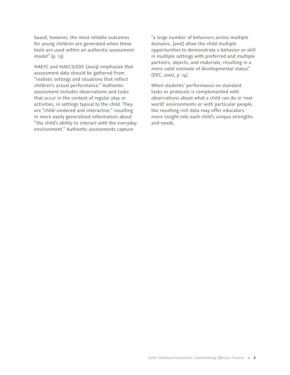based; however, the most reliable outcomes for young children are generated when these tools are used within an authentic assessment model" (p. 13).

NAEYC and NAECS/SDE (2003) emphasize that assessment data should be gathered from "realistic settings and situations that reflect children's actual performance." Authentic assessment includes observations and tasks that occur in the context of regular play or activities, in settings typical to the child. They are "child-centered and interactive," resulting in more easily generalized information about "the child's ability to interact with the everyday environment." Authentic assessments capture

"a large number of behaviors across multiple domains…[and] allow the child multiple opportunities to demonstrate a behavior or skill in multiple settings with preferred and multiple partners, objects, and materials, resulting in a more valid estimate of developmental status" (DEC, 2007, p. 14).

When students' performance on standard tasks or protocols is complemented with observations about what a child can do in 'realworld' environments or with particular people, the resulting rich data may offer educators more insight into each child's unique strengths and needs.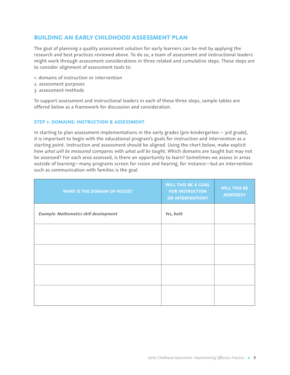# **BUILDING AN EARLY CHILDHOOD ASSESSMENT PLAN**

The goal of planning a quality assessment solution for early learners can be met by applying the research and best practices reviewed above. To do so, a team of assessment and instructional leaders might work through assessment considerations in three related and cumulative steps. These steps are to consider alignment of assessment tools to:

- 1. domains of instruction or intervention
- 2. assessment purposes
- 3. assessment methods

To support assessment and instructional leaders in each of these three steps, sample tables are offered below as a framework for discussion and consideration.

#### **STEP 1: DOMAINS: INSTRUCTION & ASSESSMENT**

In starting to plan assessment implementations in the early grades (pre-kindergarten  $-$  3rd grade), it is important to begin with the educational program's goals for instruction and intervention as a starting point. Instruction and assessment should be aligned. Using the chart below, make explicit how *what will be measured* compares with *what will be taught*. Which domains are taught but may not be assessed? For each area assessed, is there an opportunity to learn? Sometimes we assess in areas outside of learning—many programs screen for vision and hearing, for instance—but an intervention such as communication with families is the goal.

| <b>WHAT IS THE DOMAIN OF FOCUS?</b>    | <b>WILL THIS BE A GOAL</b><br><b>FOR INSTRUCTION</b><br><b>OR INTERVENTION?</b> | <b>WILL THIS BE</b><br><b>ASSESSED?</b> |
|----------------------------------------|---------------------------------------------------------------------------------|-----------------------------------------|
| Example: Mathematics skill development | Yes, both                                                                       |                                         |
|                                        |                                                                                 |                                         |
|                                        |                                                                                 |                                         |
|                                        |                                                                                 |                                         |
|                                        |                                                                                 |                                         |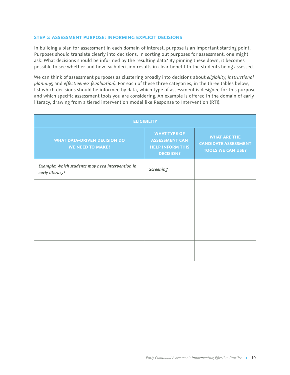#### **STEP 2: ASSESSMENT PURPOSE: INFORMING EXPLICIT DECISIONS**

In building a plan for assessment in each domain of interest, purpose is an important starting point. Purposes should translate clearly into decisions. In sorting out purposes for assessment, one might ask: What decisions should be informed by the resulting data? By pinning these down, it becomes possible to see whether and how each decision results in clear benefit to the students being assessed.

We can think of assessment purposes as clustering broadly into decisions about *eligibility*, *instructional planning*, and *effectiveness (evaluation)*. For each of these three categories, in the three tables below, list which decisions should be informed by data, which type of assessment is designed for this purpose and which specific assessment tools you are considering. An example is offered in the domain of early literacy, drawing from a tiered intervention model like Response to Intervention (RTI).

| <b>ELIGIBILITY</b>                                                  |                                                                                             |                                                                                |  |
|---------------------------------------------------------------------|---------------------------------------------------------------------------------------------|--------------------------------------------------------------------------------|--|
| <b>WHAT DATA-DRIVEN DECISION DO</b><br><b>WE NEED TO MAKE?</b>      | <b>WHAT TYPE OF</b><br><b>ASSESSMENT CAN</b><br><b>HELP INFORM THIS</b><br><b>DECISION?</b> | <b>WHAT ARE THE</b><br><b>CANDIDATE ASSESSMENT</b><br><b>TOOLS WE CAN USE?</b> |  |
| Example: Which students may need intervention in<br>early literacy? | <b>Screening</b>                                                                            |                                                                                |  |
|                                                                     |                                                                                             |                                                                                |  |
|                                                                     |                                                                                             |                                                                                |  |
|                                                                     |                                                                                             |                                                                                |  |
|                                                                     |                                                                                             |                                                                                |  |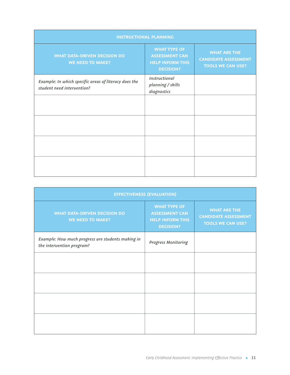| <b>INSTRUCTIONAL PLANNING</b>                                                       |                                                                                             |                                                                                |  |  |
|-------------------------------------------------------------------------------------|---------------------------------------------------------------------------------------------|--------------------------------------------------------------------------------|--|--|
| <b>WHAT DATA-DRIVEN DECISION DO</b><br><b>WE NEED TO MAKE?</b>                      | <b>WHAT TYPE OF</b><br><b>ASSESSMENT CAN</b><br><b>HELP INFORM THIS</b><br><b>DECISION?</b> | <b>WHAT ARE THE</b><br><b>CANDIDATE ASSESSMENT</b><br><b>TOOLS WE CAN USE?</b> |  |  |
| Example: In which specific areas of literacy does the<br>student need intervention? | <b>Instructional</b><br>planning / skills<br>diagnostics                                    |                                                                                |  |  |
|                                                                                     |                                                                                             |                                                                                |  |  |
|                                                                                     |                                                                                             |                                                                                |  |  |
|                                                                                     |                                                                                             |                                                                                |  |  |

| <b>EFFECTIVENESS (EVALUATION)</b>                                              |                                                                                             |                                                                                |  |
|--------------------------------------------------------------------------------|---------------------------------------------------------------------------------------------|--------------------------------------------------------------------------------|--|
| <b>WHAT DATA-DRIVEN DECISION DO</b><br><b>WE NEED TO MAKE?</b>                 | <b>WHAT TYPE OF</b><br><b>ASSESSMENT CAN</b><br><b>HELP INFORM THIS</b><br><b>DECISION?</b> | <b>WHAT ARE THE</b><br><b>CANDIDATE ASSESSMENT</b><br><b>TOOLS WE CAN USE?</b> |  |
| Example: How much progress are students making in<br>the intervention program? | <b>Progress Monitoring</b>                                                                  |                                                                                |  |
|                                                                                |                                                                                             |                                                                                |  |
|                                                                                |                                                                                             |                                                                                |  |
|                                                                                |                                                                                             |                                                                                |  |
|                                                                                |                                                                                             |                                                                                |  |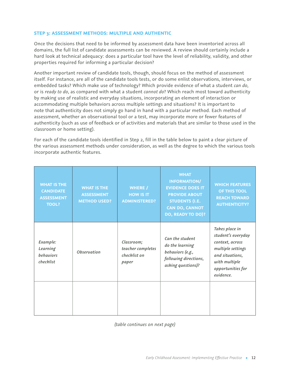#### **STEP 3: ASSESSMENT METHODS: MULTIPLE AND AUTHENTIC**

Once the decisions that need to be informed by assessment data have been inventoried across all domains, the full list of candidate assessments can be reviewed. A review should certainly include a hard look at technical adequacy: does a particular tool have the level of reliability, validity, and other properties required for informing a particular decision?

Another important review of candidate tools, though, should focus on the method of assessment itself. For instance, are all of the candidate tools tests, or do some enlist observations, interviews, or embedded tasks? Which make use of technology? Which provide evidence of what a student *can do*, or is *ready to do*, as compared with what a student *cannot do*? Which reach most toward authenticity by making use of realistic and everyday situations, incorporating an element of interaction or accommodating multiple behaviors across multiple settings and situations? It is important to note that authenticity does not simply go hand in hand with a particular method. Each method of assessment, whether an observational tool or a test, may incorporate more or fewer features of authenticity (such as use of feedback or of activities and materials that are similar to those used in the classroom or home setting).

For each of the candidate tools identified in Step 2, fill in the table below to paint a clear picture of the various assessment methods under consideration, as well as the degree to which the various tools incorporate authentic features.

| <b>WHAT IS THE</b><br><b>CANDIDATE</b><br><b>ASSESSMENT</b><br><b>TOOL?</b> | <b>WHAT IS THE</b><br><b>ASSESSMENT</b><br><b>METHOD USED?</b> | WHERE /<br><b>HOW IS IT</b><br><b>ADMINISTERED?</b>      | <b>WHAT</b><br><b>INFORMATION/</b><br><b>EVIDENCE DOES IT</b><br><b>PROVIDE ABOUT</b><br><b>STUDENTS (I.E.</b><br><b>CAN DO, CANNOT</b><br><b>DO, READY TO DO)?</b> | <b>WHICH FEATURES</b><br>OF THIS TOOL<br><b>REACH TOWARD</b><br><b>AUTHENTICITY?</b>                                                               |
|-----------------------------------------------------------------------------|----------------------------------------------------------------|----------------------------------------------------------|---------------------------------------------------------------------------------------------------------------------------------------------------------------------|----------------------------------------------------------------------------------------------------------------------------------------------------|
| Example:<br>Learning<br><b>behaviors</b><br>checklist                       | <b>Observation</b>                                             | Classroom;<br>teacher completes<br>checklist on<br>paper | Can the student<br>do the learning<br>behaviors (e.g.,<br>following directions,<br>asking questions)?                                                               | Takes place in<br>student's everyday<br>context, across<br>multiple settings<br>and situations,<br>with multiple<br>opportunities for<br>evidence. |
|                                                                             |                                                                |                                                          |                                                                                                                                                                     |                                                                                                                                                    |

*(table continues on next page)*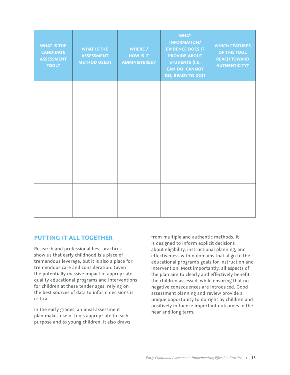| <b>WHAT IS THE</b><br><b>CANDIDATE</b><br><b>ASSESSMENT</b><br><b>TOOL?</b> | <b>WHAT IS THE</b><br><b>ASSESSMENT</b><br><b>METHOD USED?</b> | WHERE /<br><b>HOW IS IT</b><br><b>ADMINISTERED?</b> | <b>WHAT</b><br><b>INFORMATION/</b><br><b>EVIDENCE DOES IT</b><br><b>PROVIDE ABOUT</b><br><b>STUDENTS (I.E.</b><br><b>CAN DO, CANNOT</b><br>DO, READY TO DO)? | <b>WHICH FEATURES</b><br>OF THIS TOOL<br><b>REACH TOWARD</b><br><b>AUTHENTICITY?</b> |
|-----------------------------------------------------------------------------|----------------------------------------------------------------|-----------------------------------------------------|--------------------------------------------------------------------------------------------------------------------------------------------------------------|--------------------------------------------------------------------------------------|
|                                                                             |                                                                |                                                     |                                                                                                                                                              |                                                                                      |
|                                                                             |                                                                |                                                     |                                                                                                                                                              |                                                                                      |
|                                                                             |                                                                |                                                     |                                                                                                                                                              |                                                                                      |
|                                                                             |                                                                |                                                     |                                                                                                                                                              |                                                                                      |

# **PUTTING IT ALL TOGETHER**

Research and professional best practices show us that early childhood is a place of tremendous leverage, but it is also a place for tremendous care and consideration. Given the potentially massive impact of appropriate, quality educational programs and interventions for children at these tender ages, relying on the best sources of data to inform decisions is critical.

In the early grades, an ideal assessment plan makes use of tools appropriate to each purpose and to young children; it also draws from multiple and authentic methods. It is designed to inform explicit decisions about eligibility, instructional planning, and effectiveness within domains that align to the educational program's goals for instruction and intervention. Most importantly, all aspects of the plan aim to clearly and effectively benefit the children assessed, while ensuring that no negative consequences are introduced. Good assessment planning and review provide a unique opportunity to do right by children and positively influence important outcomes in the near and long term.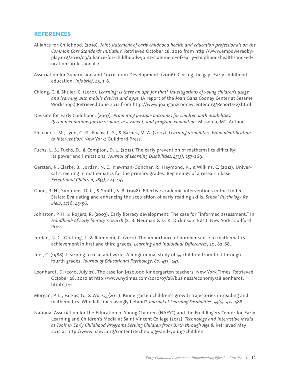## **REFERENCES**

- Alliance for Childhood. (2010). *Joint statement of early childhood health and education professionals on the Common Core Standards Initiative.* Retrieved October 28, 2010 from http://www.empoweredbyplay.org/2010/03/alliance-for-childhoods-joint-statement-of-early-childhood-health-and-education-professionals/
- Association for Supervision and Curriculum Development. (2006). Closing the gap: Early childhood education. *Infobrief*, 45, 1-8.
- Chiong, C. & Shuler, C. (2010). *Learning: Is there an app for that? Investigations of young children's usage and learning with mobile devices and apps.* (A report of the Joan Ganz Cooney Center at Sesame Workshop.) Retrieved June 2012 from http://www.joanganzcooneycenter.org/Reports-27.html
- Division for Early Childhood. (2007). *Promoting positive outcomes for children with disabilities: Recommendations for curriculum, assessment, and program evaluation.* Missoula, MT: Author.
- Fletcher, J. M., Lyon, G. R., Fuchs, L. S., & Barnes, M. A. (2007). *Learning disabilities: From identification to intervention.* New York: Guildford Press.
- Fuchs, L. S., Fuchs, D., & Compton, D. L. (2012). The early prevention of mathematics difficulty: Its power and limitations. *Journal of Learning Disabilities, 45(3)*, 257-269.
- Gersten, R., Clarke, B., Jordan, N. C., Newman-Gonchar, R., Haymond, K., & Wilkins, C. (2012). Universal screening in mathematics for the primary grades: Beginnings of a research base. *Exceptional Children, 78(4),* 423-445.
- Good, R. H., Simmons, D. C., & Smith, S. B. (1998). Effective academic interventions in the United States: Evaluating and enhancing the acquisition of early reading skills. *School Psychology Review*, 27(1), 45-56.
- Johnston, P. H. & Rogers, R. (2003). Early literacy development: The case for "informed assessment." In *Handbook of early literacy research* (S. B. Neuman & D. K. Dickinson, Eds.). New York: Guilford Press.
- Jordan, N. C., Glutting, J., & Ramineni, C. (2010). The importance of number sense to mathematics achievement in first and third grades. *Learning and Individual Differences*, 20, 82-88.
- Juel, C. (1988). Learning to read and write: A longitudinal study of 54 children from first through fourth grades. *Journal of Educational Psychology, 80,* 437–447.
- Leonhardt, D. (2010, July 27). The case for \$320,000 kindergarten teachers. New York Times. Retrieved October 28, 2010 at http://www.nytimes.com/2010/07/28/business/economy/28leonhardt. html? $r=1$
- Morgan, P. L., Farkas, G., & Wu, Q. (2011). Kindergarten children's growth trajectories in reading and mathematics: Who falls increasingly behind? *Journal of Learning Disabilities, 44(5)*, 472-488.
- National Association for the Education of Young Children (NAEYC) and the Fred Rogers Center for Early Learning and Children's Media at Saint Vincent College (2012). *Technology and Interactive Media as Tools in Early Childhood Programs Serving Children from Birth through Age 8.* Retrieved May 2012 at http://www.naeyc.org/content/technology-and-young-children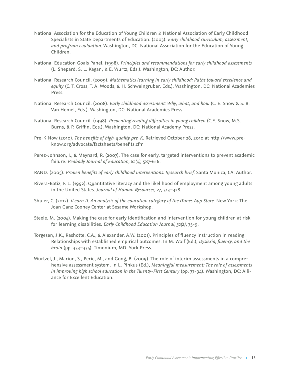- National Association for the Education of Young Children & National Association of Early Childhood Specialists in State Departments of Education. (2003). *Early childhood curriculum, assessment, and program evaluation.* Washington, DC: National Association for the Education of Young Children.
- National Education Goals Panel. (1998). *Principles and recommendations for early childhood assessments*  (L. Shepard, S. L. Kagan, & E. Wurtz, Eds.). Washington, DC: Author.
- National Research Council. (2009). *Mathematics learning in early childhood: Paths toward excellence and equity* (C. T. Cross, T. A. Woods, & H. Schweingruber, Eds.). Washington, DC: National Academies Press.
- National Research Council. (2008). *Early childhood assessment: Why, what, and how* (C. E. Snow & S. B. Van Hemel, Eds.). Washington, DC: National Academies Press.
- National Research Council. (1998). *Preventing reading difficulties in young children* (C.E. Snow, M.S. Burns, & P. Griffin, Eds.). Washington, DC: National Academy Press.
- Pre-K Now (2010). *The benefits of high-quality pre-K.* Retrieved October 28, 2010 at http://www.preknow.org/advocate/factsheets/benefits.cfm
- Perez-Johnson, I., & Maynard, R. (2007). The case for early, targeted interventions to prevent academic failure. *Peabody Journal of Education, 82(4),* 587-616.
- RAND. (2005). *Proven benefits of early childhood interventions: Research brief.* Santa Monica, CA: Author.
- Rivera-Batiz, F. L. (1992). Quantitative literacy and the likelihood of employment among young adults in the United States. *Journal of Human Resources, 27*, 313–328.
- Shuler, C. (2012). *iLearn II: An analysis of the education category of the iTunes App Store.* New York: The Joan Ganz Cooney Center at Sesame Workshop.
- Steele, M. (2004). Making the case for early identification and intervention for young children at risk for learning disabilities. *Early Childhood Education Journal, 32(2)*, 75-9.
- Torgesen, J.K., Rashotte, C.A., & Alexander, A.W. (2001). Principles of fluency instruction in reading: Relationships with established empirical outcomes. In M. Wolf (Ed.), *Dyslexia, fluency, and the brain* (pp. 333–335). Timonium, MD: York Press.
- Wurtzel, J., Marion, S., Perie, M., and Gong, B. (2009). The role of interim assessments in a comprehensive assessment system. In L. Pinkus (Ed.), *Meaningful measurement: The role of assessments in improving high school education in the Twenty-First Century* (pp. 77-94). Washington, DC: Alliance for Excellent Education.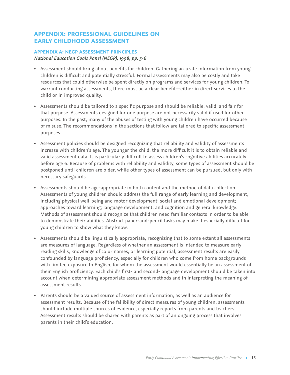# **APPENDIX: PROFESSIONAL GUIDELINES ON EARLY CHILDHOOD ASSESSMENT**

## **APPENDIX A: NEGP ASSESSMENT PRINCIPLES**

*National Education Goals Panel (NEGP), 1998, pp. 5-6*

- Assessment should bring about benefits for children. Gathering accurate information from young children is difficult and potentially stressful. Formal assessments may also be costly and take resources that could otherwise be spent directly on programs and services for young children. To warrant conducting assessments, there must be a clear benefit—either in direct services to the child or in improved quality.
- Assessments should be tailored to a specific purpose and should be reliable, valid, and fair for that purpose. Assessments designed for one purpose are not necessarily valid if used for other purposes. In the past, many of the abuses of testing with young children have occurred because of misuse. The recommendations in the sections that follow are tailored to specific assessment purposes.
- Assessment policies should be designed recognizing that reliability and validity of assessments increase with children's age. The younger the child, the more difficult it is to obtain reliable and valid assessment data. It is particularly difficult to assess children's cognitive abilities accurately before age 6. Because of problems with reliability and validity, some types of assessment should be postponed until children are older, while other types of assessment can be pursued, but only with necessary safeguards.
- Assessments should be age-appropriate in both content and the method of data collection. Assessments of young children should address the full range of early learning and development, including physical well-being and motor development; social and emotional development; approaches toward learning; language development; and cognition and general knowledge. Methods of assessment should recognize that children need familiar contexts in order to be able to demonstrate their abilities. Abstract paper-and-pencil tasks may make it especially difficult for young children to show what they know.
- Assessments should be linguistically appropriate, recognizing that to some extent all assessments are measures of language. Regardless of whether an assessment is intended to measure early reading skills, knowledge of color names, or learning potential, assessment results are easily confounded by language proficiency, especially for children who come from home backgrounds with limited exposure to English, for whom the assessment would essentially be an assessment of their English proficiency. Each child's first- and second-language development should be taken into account when determining appropriate assessment methods and in interpreting the meaning of assessment results.
- Parents should be a valued source of assessment information, as well as an audience for assessment results. Because of the fallibility of direct measures of young children, assessments should include multiple sources of evidence, especially reports from parents and teachers. Assessment results should be shared with parents as part of an ongoing process that involves parents in their child's education.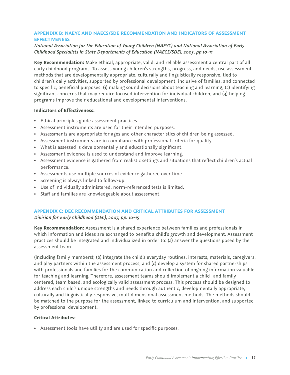## **APPENDIX B: NAEYC AND NAECS/SDE RECOMMENDATION AND INDICATORS OF ASSESSMENT EFFECTIVENESS**

## *National Association for the Education of Young Children (NAEYC) and National Association of Early Childhood Specialists in State Departments of Education (NAECS/SDE), 2003, pp.10-11*

**Key Recommendation:** Make ethical, appropriate, valid, and reliable assessment a central part of all early childhood programs. To assess young children's strengths, progress, and needs, use assessment methods that are developmentally appropriate, culturally and linguistically responsive, tied to children's daily activities, supported by professional development, inclusive of families, and connected to specific, beneficial purposes: (1) making sound decisions about teaching and learning, (2) identifying significant concerns that may require focused intervention for individual children, and (3) helping programs improve their educational and developmental interventions.

## **Indicators of Effectiveness:**

- Ethical principles guide assessment practices.
- Assessment instruments are used for their intended purposes.
- Assessments are appropriate for ages and other characteristics of children being assessed.
- Assessment instruments are in compliance with professional criteria for quality.
- What is assessed is developmentally and educationally significant.
- Assessment evidence is used to understand and improve learning.
- Assessment evidence is gathered from realistic settings and situations that reflect children's actual performance.
- Assessments use multiple sources of evidence gathered over time.
- Screening is always linked to follow-up.
- Use of individually administered, norm-referenced tests is limited.
- Staff and families are knowledgeable about assessment.

#### **APPENDIX C: DEC RECOMMENDATION AND CRITICAL ATTRIBUTES FOR ASSESSMENT**

*Division for Early Childhood (DEC), 2007, pp. 10-15*

**Key Recommendation:** Assessment is a shared experience between families and professionals in which information and ideas are exchanged to benefit a child's growth and development. Assessment practices should be integrated and individualized in order to: (a) answer the questions posed by the assessment team

(including family members); (b) integrate the child's everyday routines, interests, materials, caregivers, and play partners within the assessment process; and (c) develop a system for shared partnerships with professionals and families for the communication and collection of ongoing information valuable for teaching and learning. Therefore, assessment teams should implement a child- and familycentered, team based, and ecologically valid assessment process. This process should be designed to address each child's unique strengths and needs through authentic, developmentally appropriate, culturally and linguistically responsive, multidimensional assessment methods. The methods should be matched to the purpose for the assessment, linked to curriculum and intervention, and supported by professional development.

## **Critical Attributes:**

• Assessment tools have utility and are used for specific purposes.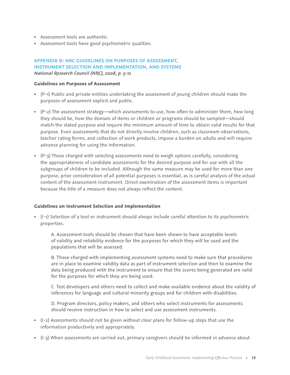- Assessment tools are authentic.
- Assessment tools have good psychometric qualities.

## **APPENDIX D: NRC GUIDELINES ON PURPOSES OF ASSESSMENT, INSTRUMENT SELECTION AND IMPLEMENTATION, AND SYSTEMS**  *National Research Council (NRC), 2008, p. 5-12*

# **Guidelines on Purposes of Assessment**

- (P-1) Public and private entities undertaking the assessment of young children should make the purposes of assessment explicit and public.
- (P-2) The assessment strategy—which assessments to use, how often to administer them, how long they should be, how the domain of items or children or programs should be sampled—should match the stated purpose and require the minimum amount of time to obtain valid results for that purpose. Even assessments that do not directly involve children, such as classroom observations, teacher rating forms, and collection of work products, impose a burden on adults and will require advance planning for using the information.
- (P-3) Those charged with selecting assessments need to weigh options carefully, considering the appropriateness of candidate assessments for the desired purpose and for use with all the subgroups of children to be included. Although the same measure may be used for more than one purpose, prior consideration of all potential purposes is essential, as is careful analysis of the actual content of the assessment instrument. Direct examination of the assessment items is important because the title of a measure does not always reflect the content.

#### **Guidelines on Instrument Selection and Implementation**

• (I-1) Selection of a tool or instrument should always include careful attention to its psychometric properties.

A. Assessment tools should be chosen that have been shown to have acceptable levels of validity and reliability evidence for the purposes for which they will be used and the populations that will be assessed.

B. Those charged with implementing assessment systems need to make sure that procedures are in place to examine validity data as part of instrument selection and then to examine the data being produced with the instrument to ensure that the scores being generated are valid for the purposes for which they are being used.

C. Test developers and others need to collect and make available evidence about the validity of inferences for language and cultural minority groups and for children with disabilities.

D. Program directors, policy makers, and others who select instruments for assessments should receive instruction in how to select and use assessment instruments.

- (I-2) Assessments should not be given without clear plans for follow-up steps that use the information productively and appropriately.
- (I-3) When assessments are carried out, primary caregivers should be informed in advance about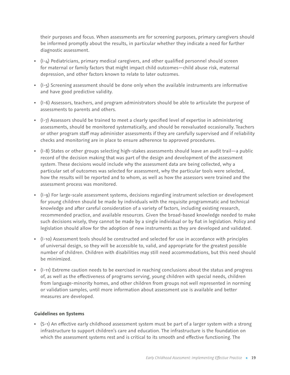their purposes and focus. When assessments are for screening purposes, primary caregivers should be informed promptly about the results, in particular whether they indicate a need for further diagnostic assessment.

- (I-4) Pediatricians, primary medical caregivers, and other qualified personnel should screen for maternal or family factors that might impact child outcomes—child abuse risk, maternal depression, and other factors known to relate to later outcomes.
- (I-5) Screening assessment should be done only when the available instruments are informative and have good predictive validity.
- (I-6) Assessors, teachers, and program administrators should be able to articulate the purpose of assessments to parents and others.
- (I-7) Assessors should be trained to meet a clearly specified level of expertise in administering assessments, should be monitored systematically, and should be reevaluated occasionally. Teachers or other program staff may administer assessments if they are carefully supervised and if reliability checks and monitoring are in place to ensure adherence to approved procedures.
- (I-8) States or other groups selecting high-stakes assessments should leave an audit trail—a public record of the decision making that was part of the design and development of the assessment system. These decisions would include why the assessment data are being collected, why a particular set of outcomes was selected for assessment, why the particular tools were selected, how the results will be reported and to whom, as well as how the assessors were trained and the assessment process was monitored.
- (I-9) For large-scale assessment systems, decisions regarding instrument selection or development for young children should be made by individuals with the requisite programmatic and technical knowledge and after careful consideration of a variety of factors, including existing research, recommended practice, and available resources. Given the broad-based knowledge needed to make such decisions wisely, they cannot be made by a single individual or by fiat in legislation. Policy and legislation should allow for the adoption of new instruments as they are developed and validated.
- (I-10) Assessment tools should be constructed and selected for use in accordance with principles of universal design, so they will be accessible to, valid, and appropriate for the greatest possible number of children. Children with disabilities may still need accommodations, but this need should be minimized.
- (I-11) Extreme caution needs to be exercised in reaching conclusions about the status and progress of, as well as the effectiveness of programs serving, young children with special needs, children from language-minority homes, and other children from groups not well represented in norming or validation samples, until more information about assessment use is available and better measures are developed.

## **Guidelines on Systems**

• (S-1) An effective early childhood assessment system must be part of a larger system with a strong infrastructure to support children's care and education. The infrastructure is the foundation on which the assessment systems rest and is critical to its smooth and effective functioning. The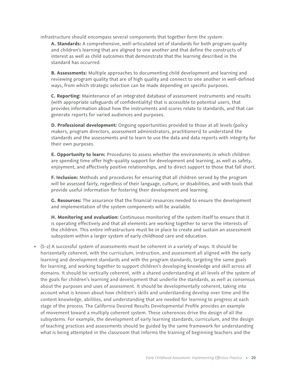infrastructure should encompass several components that together form the system:

**A. Standards:** A comprehensive, well-articulated set of standards for both program quality and children's learning that are aligned to one another and that define the constructs of interest as well as child outcomes that demonstrate that the learning described in the standard has occurred.

**B. Assessments:** Multiple approaches to documenting child development and learning and reviewing program quality that are of high quality and connect to one another in well-defined ways, from which strategic selection can be made depending on specific purposes.

**C. Reporting:** Maintenance of an integrated database of assessment instruments and results (with appropriate safeguards of confidentiality) that is accessible to potential users, that provides information about how the instruments and scores relate to standards, and that can generate reports for varied audiences and purposes.

**D. Professional development:** Ongoing opportunities provided to those at all levels (policy makers, program directors, assessment administrators, practitioners) to understand the standards and the assessments and to learn to use the data and data reports with integrity for their own purposes.

**E. Opportunity to learn:** Procedures to assess whether the environments in which children are spending time offer high-quality support for development and learning, as well as safety, enjoyment, and affectively positive relationships, and to direct support to those that fall short.

**F. Inclusion:** Methods and procedures for ensuring that all children served by the program will be assessed fairly, regardless of their language, culture, or disabilities, and with tools that provide useful information for fostering their development and learning.

**G. Resources:** The assurance that the financial resources needed to ensure the development and implementation of the system components will be available.

**H. Monitoring and evaluation:** Continuous monitoring of the system itself to ensure that it is operating effectively and that all elements are working together to serve the interests of the children. This entire infrastructure must be in place to create and sustain an assessment subsystem within a larger system of early childhood care and education.

• (S-2) A successful system of assessments must be coherent in a variety of ways. It should be horizontally coherent, with the curriculum, instruction, and assessment all aligned with the early learning and development standards and with the program standards, targeting the same goals for learning, and working together to support children's developing knowledge and skill across all domains. It should be vertically coherent, with a shared understanding at all levels of the system of the goals for children's learning and development that underlie the standards, as well as consensus about the purposes and uses of assessment. It should be developmentally coherent, taking into account what is known about how children's skills and understanding develop over time and the content knowledge, abilities, and understanding that are needed for learning to progress at each stage of the process. The California Desired Results Developmental Profile provides an example of movement toward a multiply coherent system. These coherences drive the design of all the subsystems. For example, the development of early learning standards, curriculum, and the design of teaching practices and assessments should be guided by the same framework for understanding what is being attempted in the classroom that informs the training of beginning teachers and the